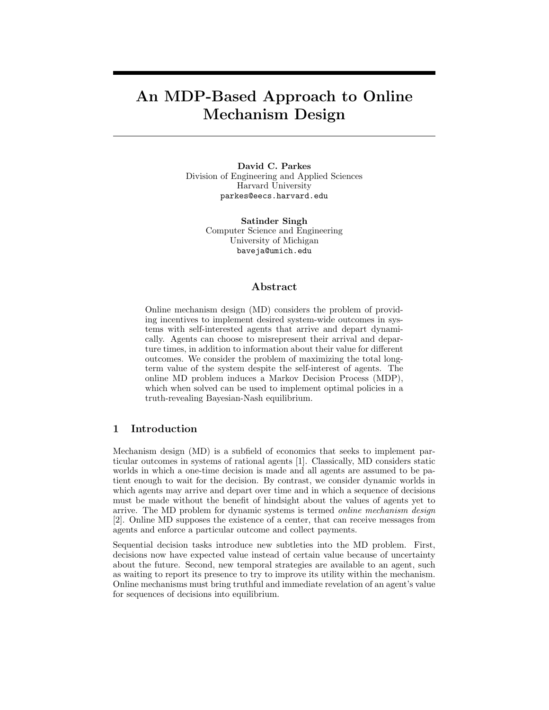# An MDP-Based Approach to Online Mechanism Design

David C. Parkes Division of Engineering and Applied Sciences Harvard University parkes@eecs.harvard.edu

> Satinder Singh Computer Science and Engineering University of Michigan baveja@umich.edu

#### Abstract

Online mechanism design (MD) considers the problem of providing incentives to implement desired system-wide outcomes in systems with self-interested agents that arrive and depart dynamically. Agents can choose to misrepresent their arrival and departure times, in addition to information about their value for different outcomes. We consider the problem of maximizing the total longterm value of the system despite the self-interest of agents. The online MD problem induces a Markov Decision Process (MDP), which when solved can be used to implement optimal policies in a truth-revealing Bayesian-Nash equilibrium.

#### 1 Introduction

Mechanism design (MD) is a subfield of economics that seeks to implement particular outcomes in systems of rational agents [1]. Classically, MD considers static worlds in which a one-time decision is made and all agents are assumed to be patient enough to wait for the decision. By contrast, we consider dynamic worlds in which agents may arrive and depart over time and in which a sequence of decisions must be made without the benefit of hindsight about the values of agents yet to arrive. The MD problem for dynamic systems is termed online mechanism design [2]. Online MD supposes the existence of a center, that can receive messages from agents and enforce a particular outcome and collect payments.

Sequential decision tasks introduce new subtleties into the MD problem. First, decisions now have expected value instead of certain value because of uncertainty about the future. Second, new temporal strategies are available to an agent, such as waiting to report its presence to try to improve its utility within the mechanism. Online mechanisms must bring truthful and immediate revelation of an agent's value for sequences of decisions into equilibrium.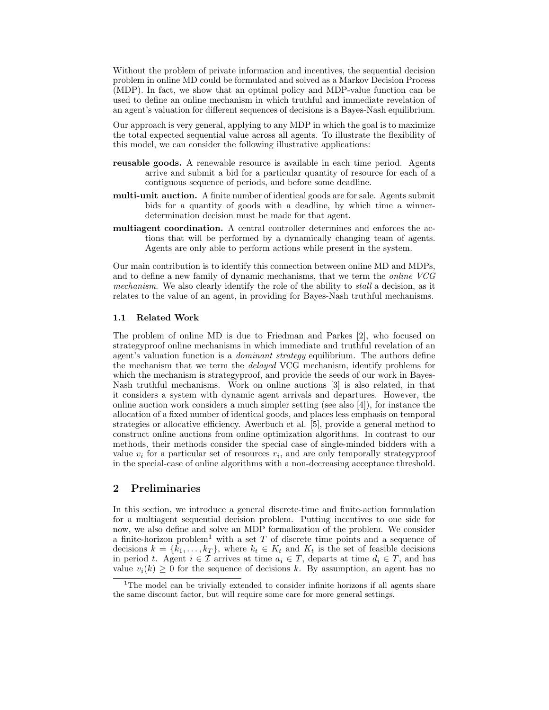Without the problem of private information and incentives, the sequential decision problem in online MD could be formulated and solved as a Markov Decision Process (MDP). In fact, we show that an optimal policy and MDP-value function can be used to define an online mechanism in which truthful and immediate revelation of an agent's valuation for different sequences of decisions is a Bayes-Nash equilibrium.

Our approach is very general, applying to any MDP in which the goal is to maximize the total expected sequential value across all agents. To illustrate the flexibility of this model, we can consider the following illustrative applications:

- reusable goods. A renewable resource is available in each time period. Agents arrive and submit a bid for a particular quantity of resource for each of a contiguous sequence of periods, and before some deadline.
- multi-unit auction. A finite number of identical goods are for sale. Agents submit bids for a quantity of goods with a deadline, by which time a winnerdetermination decision must be made for that agent.
- multiagent coordination. A central controller determines and enforces the actions that will be performed by a dynamically changing team of agents. Agents are only able to perform actions while present in the system.

Our main contribution is to identify this connection between online MD and MDPs, and to define a new family of dynamic mechanisms, that we term the online VCG mechanism. We also clearly identify the role of the ability to *stall* a decision, as it relates to the value of an agent, in providing for Bayes-Nash truthful mechanisms.

#### 1.1 Related Work

The problem of online MD is due to Friedman and Parkes [2], who focused on strategyproof online mechanisms in which immediate and truthful revelation of an agent's valuation function is a *dominant strategy* equilibrium. The authors define the mechanism that we term the delayed VCG mechanism, identify problems for which the mechanism is strategyproof, and provide the seeds of our work in Bayes-Nash truthful mechanisms. Work on online auctions [3] is also related, in that it considers a system with dynamic agent arrivals and departures. However, the online auction work considers a much simpler setting (see also [4]), for instance the allocation of a fixed number of identical goods, and places less emphasis on temporal strategies or allocative efficiency. Awerbuch et al. [5], provide a general method to construct online auctions from online optimization algorithms. In contrast to our methods, their methods consider the special case of single-minded bidders with a value  $v_i$  for a particular set of resources  $r_i$ , and are only temporally strategyproof in the special-case of online algorithms with a non-decreasing acceptance threshold.

## 2 Preliminaries

In this section, we introduce a general discrete-time and finite-action formulation for a multiagent sequential decision problem. Putting incentives to one side for now, we also define and solve an MDP formalization of the problem. We consider a finite-horizon problem<sup>1</sup> with a set  $T$  of discrete time points and a sequence of decisions  $k = \{k_1, \ldots, k_T\}$ , where  $k_t \in K_t$  and  $K_t$  is the set of feasible decisions in period t. Agent  $i \in \mathcal{I}$  arrives at time  $a_i \in T$ , departs at time  $d_i \in T$ , and has value  $v_i(k) \geq 0$  for the sequence of decisions k. By assumption, an agent has no

<sup>&</sup>lt;sup>1</sup>The model can be trivially extended to consider infinite horizons if all agents share the same discount factor, but will require some care for more general settings.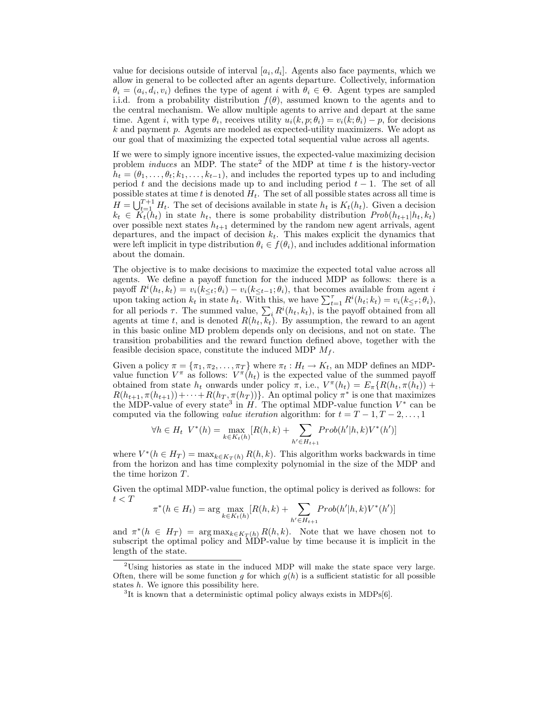value for decisions outside of interval  $[a_i, d_i]$ . Agents also face payments, which we allow in general to be collected after an agents departure. Collectively, information  $\theta_i = (a_i, d_i, v_i)$  defines the type of agent i with  $\theta_i \in \Theta$ . Agent types are sampled i.i.d. from a probability distribution  $f(\theta)$ , assumed known to the agents and to the central mechanism. We allow multiple agents to arrive and depart at the same time. Agent *i*, with type  $\theta_i$ , receives utility  $u_i(k, p; \theta_i) = v_i(k; \theta_i) - p$ , for decisions k and payment p. Agents are modeled as expected-utility maximizers. We adopt as our goal that of maximizing the expected total sequential value across all agents.

If we were to simply ignore incentive issues, the expected-value maximizing decision problem *induces* an MDP. The state<sup>2</sup> of the MDP at time  $t$  is the history-vector  $h_t = (\theta_1, \ldots, \theta_t; k_1, \ldots, k_{t-1}),$  and includes the reported types up to and including period t and the decisions made up to and including period  $t - 1$ . The set of all possible states at time t is denoted  $H_t$ . The set of all possible states across all time is  $H = \bigcup_{t=1}^{T+1} H_t$ . The set of decisions available in state  $h_t$  is  $K_t(h_t)$ . Given a decision  $k_t \in K_t(h_t)$  in state  $h_t$ , there is some probability distribution  $Prob(h_{t+1}|h_t, k_t)$ over possible next states  $h_{t+1}$  determined by the random new agent arrivals, agent departures, and the impact of decision  $k_t$ . This makes explicit the dynamics that were left implicit in type distribution  $\theta_i \in f(\theta_i)$ , and includes additional information about the domain.

The objective is to make decisions to maximize the expected total value across all agents. We define a payoff function for the induced MDP as follows: there is a payoff  $R^{i}(h_t, k_t) = v_i(k_{\leq t}; \theta_i) - v_i(k_{\leq t-1}; \theta_i)$ , that becomes available from agent i upon taking action  $k_t$  in state  $h_t$ . With this, we have  $\sum_{t=1}^{\tau} R^i(h_t; k_t) = v_i(k_{\leq \tau}; \theta_i)$ , for all periods  $\tau$ . The summed value,  $\sum_i R^i(h_t, k_t)$ , is the payoff obtained from all agents at time t, and is denoted  $R(h_t, k_t)$ . By assumption, the reward to an agent in this basic online MD problem depends only on decisions, and not on state. The transition probabilities and the reward function defined above, together with the feasible decision space, constitute the induced MDP  $M_f$ .

Given a policy  $\pi = {\pi_1, \pi_2, ..., \pi_T}$  where  $\pi_t : H_t \to K_t$ , an MDP defines an MDPvalue function  $V^{\pi}$  as follows:  $V^{\pi}(h_t)$  is the expected value of the summed payoff obtained from state  $h_t$  onwards under policy  $\pi$ , i.e.,  $V^{\pi}(h_t) = E_{\pi}\{R(h_t, \pi(h_t)) +$  $R(h_{t+1}, \pi(h_{t+1})) + \cdots + R(h_T, \pi(h_T))\}$ . An optimal policy  $\pi^*$  is one that maximizes the MDP-value of every state<sup>3</sup> in  $H$ . The optimal MDP-value function  $V^*$  can be computed via the following *value iteration* algorithm: for  $t = T - 1, T - 2, ..., 1$ 

$$
\forall h \in H_t \ \ V^*(h) = \max_{k \in K_t(h)} [R(h,k) + \sum_{h' \in H_{t+1}} Prob(h'|h,k)V^*(h')]
$$

where  $V^*(h \in H_T) = \max_{k \in K_T(h)} R(h, k)$ . This algorithm works backwards in time from the horizon and has time complexity polynomial in the size of the MDP and the time horizon T.

Given the optimal MDP-value function, the optimal policy is derived as follows: for  $t < T$ 

$$
\pi^*(h \in H_t) = \arg \max_{k \in K_t(h)} [R(h, k) + \sum_{h' \in H_{t+1}} Prob(h'|h, k)V^*(h')]
$$

and  $\pi^*(h \in H_T) = \arg \max_{k \in K_T(h)} R(h, k)$ . Note that we have chosen not to subscript the optimal policy and MDP-value by time because it is implicit in the length of the state.

 $2^2$ Using histories as state in the induced MDP will make the state space very large. Often, there will be some function g for which  $g(h)$  is a sufficient statistic for all possible states h. We ignore this possibility here.

<sup>&</sup>lt;sup>3</sup>It is known that a deterministic optimal policy always exists in MDPs[6].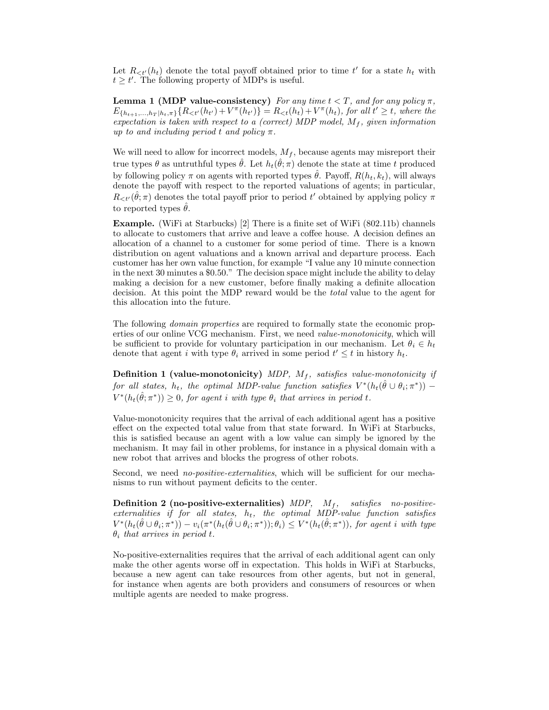Let  $R_{\lt t'}(h_t)$  denote the total payoff obtained prior to time t' for a state  $h_t$  with  $t \geq t'$ . The following property of MDPs is useful.

**Lemma 1 (MDP value-consistency)** For any time  $t < T$ , and for any policy  $\pi$ ,  $E_{\{h_{t+1},...,h_T | h_t,\pi\}}\{R_{<'}(h_{t'}) + V^{\pi}(h_{t'})\} = R_{<}(h_t) + V^{\pi}(h_t)$ , for all  $t' \geq t$ , where the expectation is taken with respect to a (correct) MDP model,  $M_f$ , given information up to and including period t and policy  $\pi$ .

We will need to allow for incorrect models,  $M_f$ , because agents may misreport their true types  $\theta$  as untruthful types  $\hat{\theta}$ . Let  $h_t(\hat{\theta}; \pi)$  denote the state at time t produced by following policy  $\pi$  on agents with reported types  $\hat{\theta}$ . Payoff,  $R(h_t, k_t)$ , will always denote the payoff with respect to the reported valuations of agents; in particular,  $R_{\lt t'}(\hat{\theta};\pi)$  denotes the total payoff prior to period t' obtained by applying policy  $\pi$ to reported types  $\theta$ .

Example. (WiFi at Starbucks) [2] There is a finite set of WiFi (802.11b) channels to allocate to customers that arrive and leave a coffee house. A decision defines an allocation of a channel to a customer for some period of time. There is a known distribution on agent valuations and a known arrival and departure process. Each customer has her own value function, for example "I value any 10 minute connection in the next 30 minutes a \$0.50." The decision space might include the ability to delay making a decision for a new customer, before finally making a definite allocation decision. At this point the MDP reward would be the total value to the agent for this allocation into the future.

The following domain properties are required to formally state the economic properties of our online VCG mechanism. First, we need *value-monotonicity*, which will be sufficient to provide for voluntary participation in our mechanism. Let  $\theta_i \in h_t$ denote that agent *i* with type  $\theta_i$  arrived in some period  $t' \leq t$  in history  $h_t$ .

**Definition 1 (value-monotonicity)** MDP,  $M_f$ , satisfies value-monotonicity if for all states,  $h_t$ , the optimal MDP-value function satisfies  $V^*(h_t(\hat{\theta} \cup \theta_i; \pi^*))$  $V^*(h_t(\hat{\theta}; \pi^*)) \geq 0$ , for agent i with type  $\theta_i$  that arrives in period t.

Value-monotonicity requires that the arrival of each additional agent has a positive effect on the expected total value from that state forward. In WiFi at Starbucks, this is satisfied because an agent with a low value can simply be ignored by the mechanism. It may fail in other problems, for instance in a physical domain with a new robot that arrives and blocks the progress of other robots.

Second, we need *no-positive-externalities*, which will be sufficient for our mechanisms to run without payment deficits to the center.

**Definition 2 (no-positive-externalities)** MDP,  $M_f$ , satisfies no-positiveexternalities if for all states,  $h_t$ , the optimal MDP-value function satisfies  $V^*(h_t(\hat{\theta} \cup \theta_i; \pi^*)) - v_i(\pi^*(h_t(\hat{\theta} \cup \theta_i; \pi^*)); \theta_i) \leq V^*(h_t(\hat{\theta}; \pi^*)),$  for agent i with type  $\theta_i$  that arrives in period t.

No-positive-externalities requires that the arrival of each additional agent can only make the other agents worse off in expectation. This holds in WiFi at Starbucks, because a new agent can take resources from other agents, but not in general, for instance when agents are both providers and consumers of resources or when multiple agents are needed to make progress.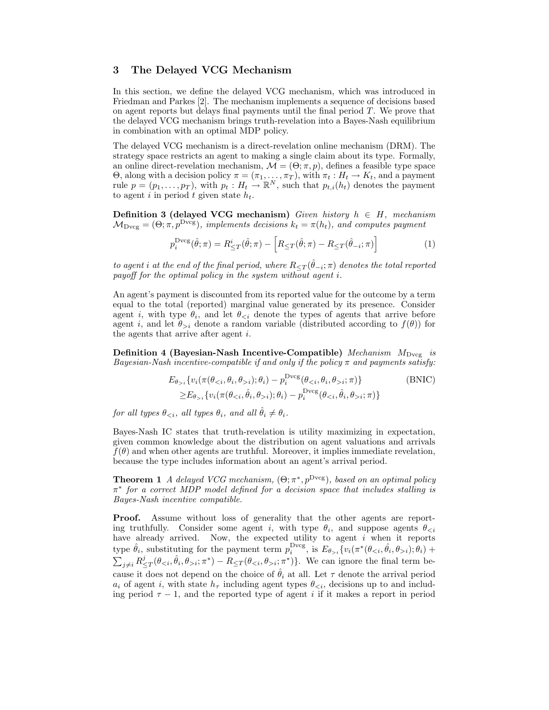#### 3 The Delayed VCG Mechanism

In this section, we define the delayed VCG mechanism, which was introduced in Friedman and Parkes [2]. The mechanism implements a sequence of decisions based on agent reports but delays final payments until the final period  $T$ . We prove that the delayed VCG mechanism brings truth-revelation into a Bayes-Nash equilibrium in combination with an optimal MDP policy.

The delayed VCG mechanism is a direct-revelation online mechanism (DRM). The strategy space restricts an agent to making a single claim about its type. Formally, an online direct-revelation mechanism,  $\mathcal{M} = (\Theta; \pi, p)$ , defines a feasible type space Θ, along with a decision policy  $\pi = (\pi_1, \ldots, \pi_T)$ , with  $\pi_t : H_t \to K_t$ , and a payment rule  $p = (p_1, \ldots, p_T)$ , with  $p_t : H_t \to \mathbb{R}^N$ , such that  $p_{t,i}(h_t)$  denotes the payment to agent i in period t given state  $h_t$ .

**Definition 3 (delayed VCG mechanism)** Given history  $h \in H$ , mechanism  $\mathcal{M}_{\text{Dvcg}} = (\Theta; \pi, p^{\text{Dvcg}})$ , implements decisions  $k_t = \pi(h_t)$ , and computes payment

$$
p_i^{\text{Dvcg}}(\hat{\theta}; \pi) = R_{\leq T}^i(\hat{\theta}; \pi) - \left[ R_{\leq T}(\hat{\theta}; \pi) - R_{\leq T}(\hat{\theta}_{-i}; \pi) \right]
$$
(1)

to agent  $i$  at the end of the final period, where  $R_{\leq T}(\hat{\theta}_{-i};\pi)$  denotes the total reported payoff for the optimal policy in the system without agent i.

An agent's payment is discounted from its reported value for the outcome by a term equal to the total (reported) marginal value generated by its presence. Consider agent *i*, with type  $\theta_i$ , and let  $\theta_{\leq i}$  denote the types of agents that arrive before agent i, and let  $\theta_{>i}$  denote a random variable (distributed according to  $f(\theta)$ ) for the agents that arrive after agent  $i$ .

Definition 4 (Bayesian-Nash Incentive-Compatible) Mechanism  $M_{\text{Dvcg}}$  is Bayesian-Nash incentive-compatible if and only if the policy  $\pi$  and payments satisfy:

$$
E_{\theta_{>i}}\{v_i(\pi(\theta_{i}); \theta_i) - p_i^{\text{Dvcg}}(\theta_{i}; \pi)\}\
$$
(BNIC)  

$$
\geq E_{\theta_{>i}}\{v_i(\pi(\theta_{i}); \theta_i) - p_i^{\text{Dvcg}}(\theta_{i}; \pi)\}
$$

 $for\ all\ types\ \theta_{< i},\ all\ types\ \theta_i,\ and\ all\ \hat{\theta}_i\neq \theta_i.$ 

Bayes-Nash IC states that truth-revelation is utility maximizing in expectation, given common knowledge about the distribution on agent valuations and arrivals  $f(\theta)$  and when other agents are truthful. Moreover, it implies immediate revelation, because the type includes information about an agent's arrival period.

**Theorem 1** A delayed VCG mechanism,  $(\Theta; \pi^*, p^{\text{Dvcg}})$ , based on an optimal policy π ∗ for a correct MDP model defined for a decision space that includes stalling is Bayes-Nash incentive compatible.

Proof. Assume without loss of generality that the other agents are reporting truthfully. Consider some agent i, with type  $\theta_i$ , and suppose agents  $\theta_{\leq i}$ have already arrived. Now, the expected utility to agent  $i$  when it reports type  $\hat{\theta}_i$ , substituting for the payment term  $p_i^{\text{Dvg}}$ , is  $E_{\theta_{>i}}\{v_i(\pi^*(\theta_{i}); \theta_i) + \theta_i\}$  $\sum_{j\neq i} R^j_{\leq T}(\theta_{\leq i}, \hat{\theta}_i, \theta_{> i}; \pi^*) - R_{\leq T}(\theta_{\leq i}, \theta_{> i}; \pi^*)\}.$  We can ignore the final term because it does not depend on the choice of  $\hat{\theta}_i$  at all. Let  $\tau$  denote the arrival period  $a_i$  of agent i, with state  $h_{\tau}$  including agent types  $\theta_{\leq i}$ , decisions up to and including period  $\tau - 1$ , and the reported type of agent i if it makes a report in period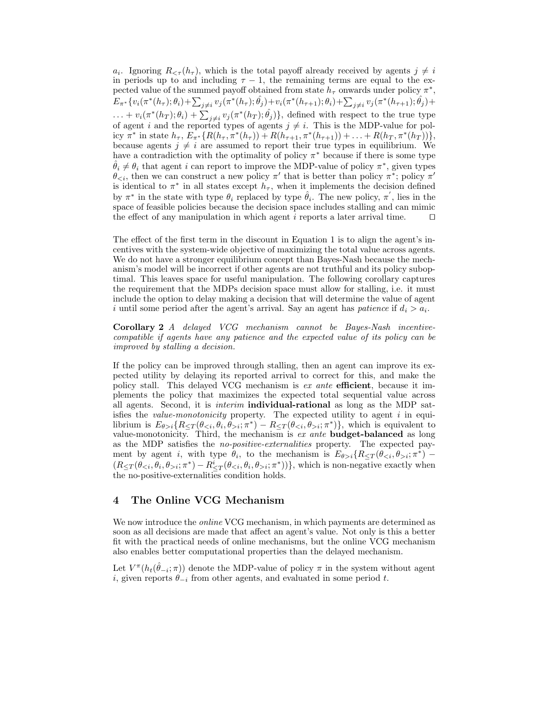$a_i$ . Ignoring  $R_{\leq \tau}(h_{\tau})$ , which is the total payoff already received by agents  $j \neq i$ in periods up to and including  $\tau - 1$ , the remaining terms are equal to the expected value of the summed payoff obtained from state  $h_{\tau}$  onwards under policy  $\pi^*$ ,  $E_{\pi^*}\{v_i(\pi^*(h_{\tau});\theta_i)+\sum_{j\neq i}v_j(\pi^*(h_{\tau});\hat{\theta_j})+v_i(\pi^*(h_{\tau+1});\theta_i)+\sum_{j\neq i}v_j(\pi^*(h_{\tau+1});\hat{\theta_j})+$  $\dots + v_i(\pi^*(h_T); \theta_i) + \sum_{j \neq i} v_j(\pi^*(h_T); \hat{\theta}_j)$ , defined with respect to the true type of agent i and the reported types of agents  $j \neq i$ . This is the MDP-value for policy  $\pi^*$  in state  $h_{\tau}$ ,  $E_{\pi^*} \{ R(h_{\tau}, \pi^*(h_{\tau})) + R(h_{\tau+1}, \pi^*(h_{\tau+1})) + \ldots + R(h_T, \pi^*(h_T)) \},$ because agents  $j \neq i$  are assumed to report their true types in equilibrium. We have a contradiction with the optimality of policy  $\pi^*$  because if there is some type  $\hat{\theta}_i \neq \theta_i$  that agent i can report to improve the MDP-value of policy  $\pi^*$ , given types  $\theta_{\leq i}$ , then we can construct a new policy  $\pi'$  that is better than policy  $\pi^*$ ; policy  $\pi'$ is identical to  $\pi^*$  in all states except  $h_{\tau}$ , when it implements the decision defined by  $\pi^*$  in the state with type  $\theta_i$  replaced by type  $\hat{\theta}_i$ . The new policy,  $\pi'$ , lies in the space of feasible policies because the decision space includes stalling and can mimic the effect of any manipulation in which agent  $i$  reports a later arrival time.

The effect of the first term in the discount in Equation 1 is to align the agent's incentives with the system-wide objective of maximizing the total value across agents. We do not have a stronger equilibrium concept than Bayes-Nash because the mechanism's model will be incorrect if other agents are not truthful and its policy suboptimal. This leaves space for useful manipulation. The following corollary captures the requirement that the MDPs decision space must allow for stalling, i.e. it must include the option to delay making a decision that will determine the value of agent i until some period after the agent's arrival. Say an agent has *patience* if  $d_i > a_i$ .

Corollary 2 A delayed VCG mechanism cannot be Bayes-Nash incentivecompatible if agents have any patience and the expected value of its policy can be improved by stalling a decision.

If the policy can be improved through stalling, then an agent can improve its expected utility by delaying its reported arrival to correct for this, and make the policy stall. This delayed VCG mechanism is  $ex$  ante efficient, because it implements the policy that maximizes the expected total sequential value across all agents. Second, it is interim individual-rational as long as the MDP satisfies the *value-monotonicity* property. The expected utility to agent  $i$  in equilibrium is  $E_{\theta>i} \{R_{\leq T}(\theta_{i}; \pi^*) - R_{\leq T}(\theta_{i}; \pi^*)\}$ , which is equivalent to value-monotonicity. Third, the mechanism is ex ante **budget-balanced** as long as the MDP satisfies the no-positive-externalities property. The expected payment by agent *i*, with type  $\theta_i$ , to the mechanism is  $E_{\theta>i}$  { $R_{\leq T}(\theta_{\leq i}, \theta_{>i}; \pi^*)$  - $(R_{\leq T}(\theta_{\leq i}, \theta_i, \theta_{>i}; \pi^*) - R_{\leq T}^i(\theta_{\leq i}, \theta_i, \theta_{>i}; \pi^*))\},$  which is non-negative exactly when the no-positive-externalities condition holds.

# 4 The Online VCG Mechanism

We now introduce the *online* VCG mechanism, in which payments are determined as soon as all decisions are made that affect an agent's value. Not only is this a better fit with the practical needs of online mechanisms, but the online VCG mechanism also enables better computational properties than the delayed mechanism.

Let  $V^{\pi}(h_t(\hat{\theta}_{-i};\pi))$  denote the MDP-value of policy  $\pi$  in the system without agent i, given reports  $\theta_{-i}$  from other agents, and evaluated in some period t.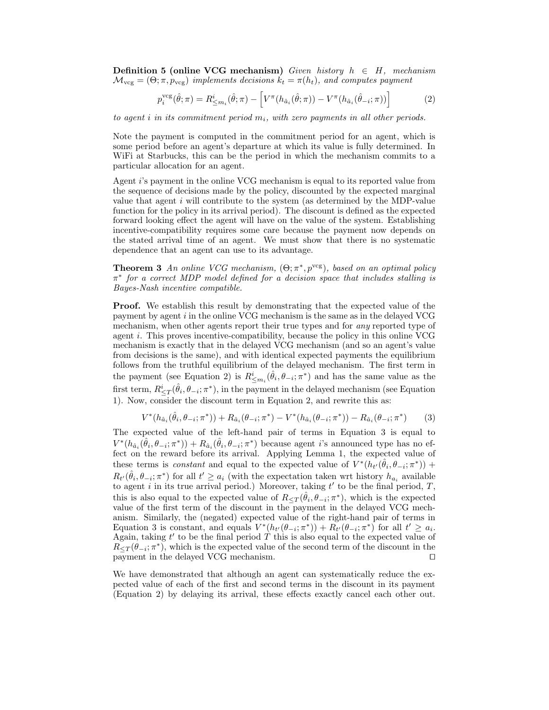**Definition 5 (online VCG mechanism)** Given history  $h \in H$ , mechanism  $\mathcal{M}_{\text{vcg}} = (\Theta; \pi, p_{\text{vcg}})$  implements decisions  $k_t = \pi(h_t)$ , and computes payment

$$
p_i^{\text{veg}}(\hat{\theta}; \pi) = R_{\leq m_i}^i(\hat{\theta}; \pi) - \left[ V^{\pi}(h_{\hat{a}_i}(\hat{\theta}; \pi)) - V^{\pi}(h_{\hat{a}_i}(\hat{\theta}_{-i}; \pi)) \right]
$$
(2)

to agent i in its commitment period  $m_i$ , with zero payments in all other periods.

Note the payment is computed in the commitment period for an agent, which is some period before an agent's departure at which its value is fully determined. In WiFi at Starbucks, this can be the period in which the mechanism commits to a particular allocation for an agent.

Agent i's payment in the online VCG mechanism is equal to its reported value from the sequence of decisions made by the policy, discounted by the expected marginal value that agent  $i$  will contribute to the system (as determined by the MDP-value function for the policy in its arrival period). The discount is defined as the expected forward looking effect the agent will have on the value of the system. Establishing incentive-compatibility requires some care because the payment now depends on the stated arrival time of an agent. We must show that there is no systematic dependence that an agent can use to its advantage.

**Theorem 3** An online VCG mechanism,  $(\Theta; \pi^*, p^{\text{vcg}})$ , based on an optimal policy  $\pi^*$  for a correct MDP model defined for a decision space that includes stalling is Bayes-Nash incentive compatible.

Proof. We establish this result by demonstrating that the expected value of the payment by agent  $i$  in the online VCG mechanism is the same as in the delayed VCG mechanism, when other agents report their true types and for *any* reported type of agent i. This proves incentive-compatibility, because the policy in this online VCG mechanism is exactly that in the delayed VCG mechanism (and so an agent's value from decisions is the same), and with identical expected payments the equilibrium follows from the truthful equilibrium of the delayed mechanism. The first term in the payment (see Equation 2) is  $R_{\leq m_i}^i(\hat{\theta}_i, \theta_{-i}; \pi^*)$  and has the same value as the first term,  $R^i_{\leq T}(\hat{\theta}_i, \theta_{-i}; \pi^*)$ , in the payment in the delayed mechanism (see Equation 1). Now, consider the discount term in Equation 2, and rewrite this as:

$$
V^*(h_{\hat{a}_i}(\hat{\theta}_i, \theta_{-i}; \pi^*)) + R_{\hat{a}_i}(\theta_{-i}; \pi^*) - V^*(h_{\hat{a}_i}(\theta_{-i}; \pi^*)) - R_{\hat{a}_i}(\theta_{-i}; \pi^*)
$$
(3)

The expected value of the left-hand pair of terms in Equation 3 is equal to  $V^*(h_{\hat{a}_i}(\hat{\theta}_i, \theta_{-i}; \pi^*)) + R_{\hat{a}_i}(\hat{\theta}_i, \theta_{-i}; \pi^*)$  because agent *i*'s announced type has no effect on the reward before its arrival. Applying Lemma 1, the expected value of these terms is *constant* and equal to the expected value of  $V^*(h_{t'}(\hat{\theta}_i, \theta_{-i}; \pi^*))$  +  $R_{t'}(\hat{\theta}_i, \theta_{-i}; \pi^*)$  for all  $t' \geq a_i$  (with the expectation taken wrt history  $h_{a_i}$  available to agent i in its true arrival period.) Moreover, taking  $t'$  to be the final period,  $T$ , this is also equal to the expected value of  $R_{\leq T}(\hat{\theta}_i, \theta_{-i}; \pi^*)$ , which is the expected value of the first term of the discount in the payment in the delayed VCG mechanism. Similarly, the (negated) expected value of the right-hand pair of terms in Equation 3 is constant, and equals  $V^*(h_{t'}(\theta_{-i}; \pi^*)) + R_{t'}(\theta_{-i}; \pi^*)$  for all  $t' \geq a_i$ . Again, taking  $t'$  to be the final period  $T$  this is also equal to the expected value of  $R_{\leq T}(\theta_{-i}; \pi^*)$ , which is the expected value of the second term of the discount in the payment in the delayed VCG mechanism.  $\square$ 

We have demonstrated that although an agent can systematically reduce the expected value of each of the first and second terms in the discount in its payment (Equation 2) by delaying its arrival, these effects exactly cancel each other out.